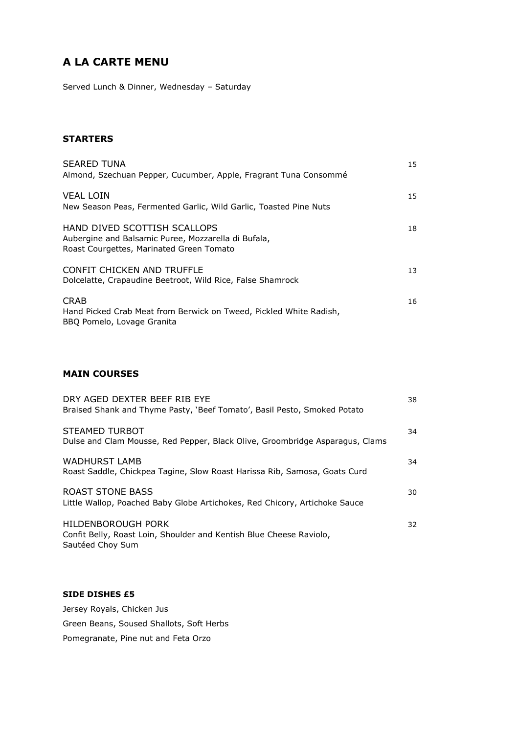# **A LA CARTE MENU**

Served Lunch & Dinner, Wednesday – Saturday

### **STARTERS**

| <b>SEARED TUNA</b><br>Almond, Szechuan Pepper, Cucumber, Apple, Fragrant Tuna Consommé                                          | 15 |
|---------------------------------------------------------------------------------------------------------------------------------|----|
| <b>VEAL LOIN</b><br>New Season Peas, Fermented Garlic, Wild Garlic, Toasted Pine Nuts                                           | 15 |
| HAND DIVED SCOTTISH SCALLOPS<br>Aubergine and Balsamic Puree, Mozzarella di Bufala,<br>Roast Courgettes, Marinated Green Tomato | 18 |
| CONFIT CHICKEN AND TRUFFLE<br>Dolcelatte, Crapaudine Beetroot, Wild Rice, False Shamrock                                        | 13 |
| <b>CRAB</b><br>Hand Picked Crab Meat from Berwick on Tweed, Pickled White Radish,<br>BBO Pomelo, Lovage Granita                 | 16 |

## **MAIN COURSES**

| DRY AGED DEXTER BEEF RIB EYE<br>Braised Shank and Thyme Pasty, 'Beef Tomato', Basil Pesto, Smoked Potato      | 38 |
|---------------------------------------------------------------------------------------------------------------|----|
| STEAMED TURBOT<br>Dulse and Clam Mousse, Red Pepper, Black Olive, Groombridge Asparagus, Clams                | 34 |
| <b>WADHURST LAMB</b><br>Roast Saddle, Chickpea Tagine, Slow Roast Harissa Rib, Samosa, Goats Curd             | 34 |
| ROAST STONE BASS<br>Little Wallop, Poached Baby Globe Artichokes, Red Chicory, Artichoke Sauce                | 30 |
| HILDENBOROUGH PORK<br>Confit Belly, Roast Loin, Shoulder and Kentish Blue Cheese Raviolo,<br>Sautéed Choy Sum | 32 |

#### **SIDE DISHES £5**

Jersey Royals, Chicken Jus Green Beans, Soused Shallots, Soft Herbs Pomegranate, Pine nut and Feta Orzo